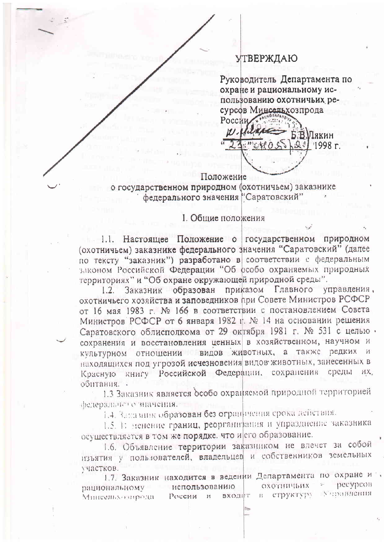## **УТВЕРЖДАЮ**

Руководитель Департамента по охране и рациональному использованию охотничьих ресурсов Минсельхозпрода Росси

В.Мякин  $1998r$ .

## Положение

о государственном природном (охотничьем) заказнике федерального значения "Саратовский"

## **I.** Общие положения

1.1. Настоящее Положение о государственном природном (охотничьем) заказнике федерального значения "Саратовский" (далее по тексту "заказник") разработано в соответствии с федеральным законом Российской Федерации "Об особо охраняемых природных территориях" и "Об охране окружающей природной среды".

Заказник образован приказом Главного управления.  $1.2.$ охотничьего хозяйства и заповедников при Совете Министров РСФСР от 16 мая 1983 г. № 166 в соответствии с постановлением Совета Министров РСФСР от 6 января 1982 г. № 14 на основании решения Саратовского облисполкома от 29 октября 1981 г. № 531 с целью. сохранения и восстановления ценных в хозяйственном, научном и культурном отношении видов животных, а также редких и находящихся под угрозой исчезновения видов животных, занесенных в книгу Российской Федерации, сохранения среды HX. Красную обитания. -

1.3 Заказник является особо охраняемой природной территорией федерального значения.

1.4. Заказник образован без ограничения срока действия.

1.5. 1: менение границ, реорганивания и упразднение заказника осуществляется в том же порядке, что и сго образование.

1.6. Объявление территории заказником не влечет за собой изъятия у пользователей, владельцев и собственников земельных участков.

1.7. Заказник находится в ведении Департамента по охране и Decypcon охотничьих использованию рациональному в структуру Учравления входит России и Мингелило опрода-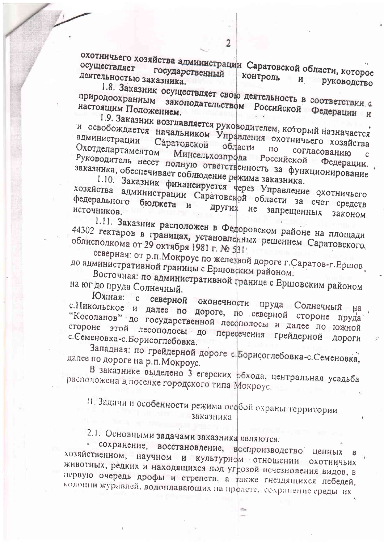охотничьего хозяйства администрации Саратовской области, которое деятельностью заказника. контроль  $\mathbf{H}$ руководство

1.8. Заказник осуществляет свою деятельность в соответствии с природоохранным законодательством Российской Федерации и настоящим Положением.

1.9. Заказник возглавляется руководителем, который назначается и освобождается начальником Управления охотничьего хозяйства Саратовской области Охотдепартаментом  $\overline{10}$ согласованию Минсельхозпрода Российской Федерации. Руководитель несет полную ответственность за функционирование

заказника, обеспечивает соблюдение режима заказника. 1.10. Заказник финансируется через Управление охотничьего хозяйства администрации Саратовской области за счет средств федерального других не источников. запрещенных законом

1.11. Заказник расположен в Федоровском районе на площади 44302 гектаров в границах, установленных решением Саратовского. облисполкома от 29 октября 1981 г. № 531.

северная: от р.п. Мокроус по железной дороге г. Саратов-г. Ершов до административной границы с Ершовским районом.

Восточная: по административной границе с Ершовским районом на юг до пруда Солнечный.

Южная: с северной оконечности пруда Солнечный на с. Никольское и далее по дороге, по северной стороне пруда "Косолапов" до государственной лесополосы и далее по южной стороне этой лесополосы до пересечения грейдерной с. Семеновка-с. Борисоглебовка. ДОРОГИ

Западная: по грейдерной дороге с. Борисоглебовка-с. Семеновка, далее по дороге на р.п. Мокроус.

В заказнике выделено 3 егерских обхода, центральная усадьба расположена в поселке городского типа Мокроус.

П. Задачи и особенности режима особой охраны территории заказника

2.1. Основными задачами заказника являются:

сохранение, восстановление, воспроизводство ценных хозяйственном, научном и культурном отношении охотничьих животных, редких и находящихся под угрозой исчезновения видов, в первую очередь дрофы и стрепета, а также гнездящихся лебедей, колонни журавлей, водоплавающих на пролете, сохранение среды их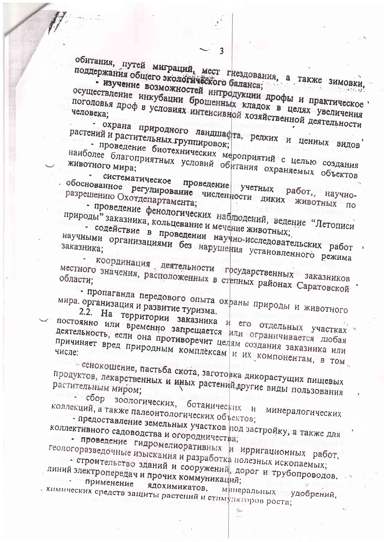обитания, путей миграций, мест гнездования, а также зимовки, поддержания общего экологического баланса; - изучение возможностей интродукции дрофы и практическое осуществление инкубации брошенных кладок в целях увеличения поголовья дроф в условиях интенсивной хозяйственной деятельности

- охрана природного ландшафта, редких и ценных видов растений и растительных группировок;

- проведение биотехнических мероприятий с целью создания

наиболее благоприятных условий обитания охраняемых объектов систематическое проведение учетных работ, научно-

обоснованное регулирование численности диких животных по разрешению Охотдепартамента; - проведение фенологических наблюдений, ведение "Летописи

природы" заказника, кольцевание и мечение животных; - содействие в проведении научно-исследовательских работ

научными организациями без нарушения установленного режима заказника;

координация деятельности государственных заказников местного значения, расположенных в степных районах Саратовской области;

• пропаганда передового опыта охраны природы и животного мира. организация и развитие туризма.

2.2. На территории заказника и его отдельных участках

постоянно или временно запрещается или ограничивается любая деятельность, если она противоречит целям создания заказника или причиняет вред природным комплексам и их компонентам, в том.

- сенокошение, пастьба скота, заготовка дикорастущих пищевых продуктов, лекарственных и иных растений, другие виды пользования растительным миром;  $-c6$ op

зоологических, ботанических и минералогических коллекций, а также палеонтологических объектов;

- предоставление земельных участков под застройку, а также для коллективного садоводства и огородничества;

- проведение гидромелиоративных и ирригационных работ, геологоразведочные изыскания и разработка полезных ископаемых;

- строительство зданий и сооружений, дорог и трубопроводов. линий электропередач и прочих коммуникаций;

применение ядохимикатов, кимических средств защиты растений и стимуляторов роста; минеральных удобрений,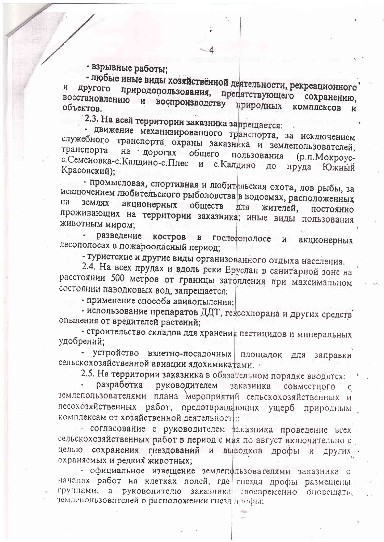- взрывные работы;

- любые иные виды хозяйственной деятельности, рекреационного природопользования, препятствующего сохранению, другого восстановлению и воспроизводству природных комплексов объектов.

2.3. На всей территории заказника запрещается:

- движение механизированного транспорта, за исключением служебного транспорта охраны заказника и землепользователей, транспорта на дорогах общего прльзования (р.п. Мокроусс. Семеновка-с. Калдино-с. Плес и с. Калдино ДО пруда Южный Красовский);

- промысловая, спортивная и любительская охота, лов рыбы, за исключением любительского рыболовства в водоемах, расположенных акционерных обществ на землях ДЛЯ жителей. постоянно проживающих на территории заказника; иные виды пользования животным миром;

разведение костров в гослефополосе  $\boldsymbol{H}$ акционерных лесополосах в пожароопасный период;

- туристские и другие виды организованного отдыха населения.

2.4. На всех прудах и вдоль реки Еруслан в санитарной зоне на расстоянии 500 метров от границы затопления при максимальном состоянии паводковых вод, запрещается:

- применение способа авиаопыления;

- использование препаратов ДДТ, гексохлорана и других средств опыления от вредителей растений;

- строительство складов для хранения пестицидов и минеральных удобрений;

устройство взлетно-посадочных площадок для заправки сельскохозяйственной авиации ядохимикатами.

2.5. На территории заказника в обязательном порядке вводятся:

разработка руководителем заказника совместного  $\mathsf{C}$ землепользователями плана мероприятий сельскохозяйственных и лесохозяйственных работ, предотвращающих ущерб природным комплексам от хозяйственной деятельности;

- согласование с руководителем ваказника проведение всех сельскохозяйственных работ в период с мая по август включительно с целью сохранения гнездований и выводков дрофы и других охраняемых и редких животных;

- официальное извещение землепользователями заказника о началах работ на клетках полей, где гисзда дрофы размещены группами, а руководителю заказника своевременно оповещать. земленользователей о расположении гнезд дрофы;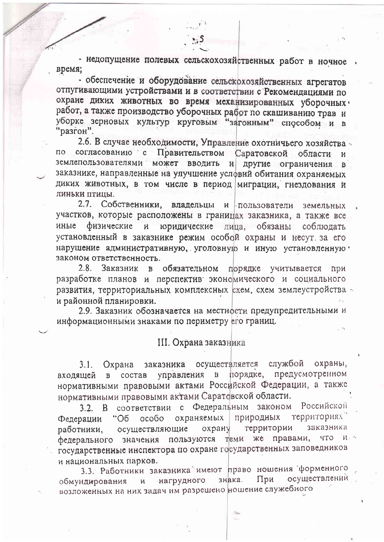- недопущение полевых сельскохозяйственных работ в ночное время;

- обеспечение и оборудование сельскохозяйственных агрегатов отпугивающими устройствами и в соответствии с Рекомендациями по охране диких животных во время механизированных уборочных · работ, а также производство уборочных работ по скашиванию трав и уборке зерновых культур круговым "загонным" способом и в "разгон".

2.6. В случае необходимости, Управление охотничьего хозяйства согласованию с Правительством Саратовской области по земленользователями может вводить и другие ограничения заказнике, направленные на улучшение условий обитания охраняемых диких животных, в том числе в период миграции, гнездования и линьки птицы.

2.7. Собственники, владельцы и пользователи земельных участков, которые расположены в границах заказника, а также все иные физические юридические лица, обязаны соблюдать  $\mathbf{H}$ установленный в заказнике режим особой охраны и несут, за его нарушение административную, уголовную и иную установленную ' законом ответственность.

2.8. Заказник в обязательном порядке учитывается При разработке планов и перспектив экономического и социального развития, территориальных комплексных схем, схем землеустройства и районной планировки.

2.9. Заказник обозначается на местности предупредительными и информационными знаками по периметру его границ.

## III. Охрана заказника

осуществляется службой охраны,  $3.1.$ Охрана заказника порядке, предусмотренном управления в состав входящей в нормативными правовыми актами Российской Федерации, а также нормативными правовыми актами Саратовской области.

3.2. В соответствии с Федеральным законом Российской территориях природных охраняемых Федерации "Об особо территории заказника осуществляющие охрану работники, пользуются теми же правами, ੀਮ ਨ что. федерального значения государственные инспектора по охране государственных заповедников и национальных парков.

3.3. Работники заказника имеют право ношения форменного осуществлений При знака.  $\boldsymbol{\mathsf{M}}$ нагрудного обмундирования возложенных на них задач им разрешено ношение служебного